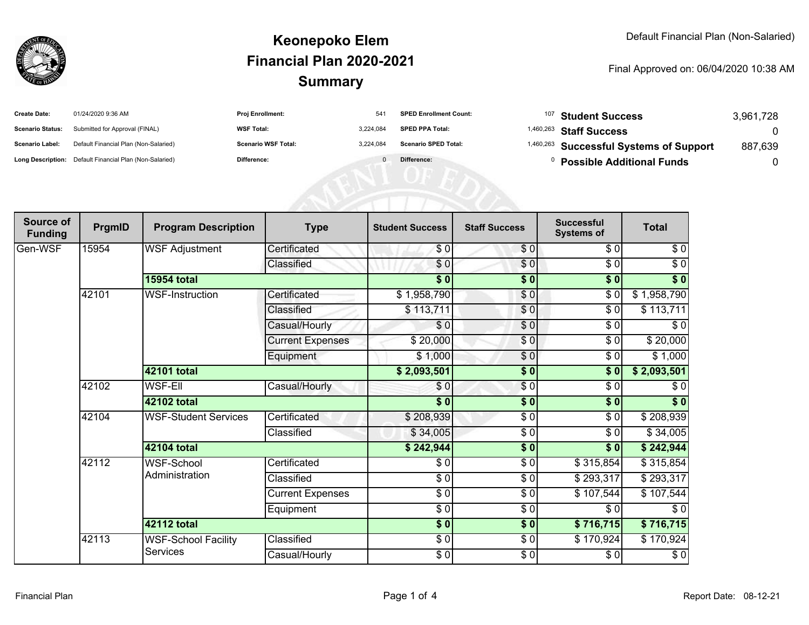

#### **SummaryKeonepoko ElemFinancial Plan 2020-2021**

#### Final Approved on: 06/04/2020 10:38 AM

| <b>Create Date:</b>     | 01/24/2020 9:36 AM                                      | <b>Proj Enrollment:</b>    | 541       | <b>SPED Enrollment Count:</b> | <sup>107</sup> Student Success          | 3,961,728 |
|-------------------------|---------------------------------------------------------|----------------------------|-----------|-------------------------------|-----------------------------------------|-----------|
| <b>Scenario Status:</b> | Submitted for Approval (FINAL)                          | <b>WSF Total:</b>          | 3.224.084 | <b>SPED PPA Total:</b>        | <sup>1,460,263</sup> Staff Success      |           |
| <b>Scenario Label:</b>  | Default Financial Plan (Non-Salaried)                   | <b>Scenario WSF Total:</b> | 3,224,084 | <b>Scenario SPED Total:</b>   | 1,460,263 Successful Systems of Support | 887,639   |
|                         | Long Description: Default Financial Plan (Non-Salaried) | Difference:                |           | Difference:                   | <b>Possible Additional Funds</b>        |           |
|                         |                                                         |                            |           |                               |                                         |           |
|                         |                                                         |                            |           |                               |                                         |           |
|                         |                                                         |                            |           |                               |                                         |           |

| Source of<br><b>Funding</b> | PrgmID | <b>Program Description</b>             | <b>Type</b>             | <b>Student Success</b> | <b>Staff Success</b> | <b>Successful</b><br><b>Systems of</b> | <b>Total</b> |
|-----------------------------|--------|----------------------------------------|-------------------------|------------------------|----------------------|----------------------------------------|--------------|
| Gen-WSF                     | 15954  | <b>WSF Adjustment</b>                  | Certificated            | \$0                    | \$0                  | \$0                                    | \$0          |
|                             |        |                                        | Classified              | \$0                    | $\frac{1}{\sqrt{2}}$ | $\sqrt{6}$                             | $\sqrt{6}$   |
|                             |        | <b>15954 total</b>                     |                         | $\sqrt{5}$             | \$0                  | $\sqrt{6}$                             | $\sqrt[6]{}$ |
|                             | 42101  | WSF-Instruction                        | Certificated            | \$1,958,790            | \$0                  | $\frac{1}{\sqrt{2}}$                   | \$1,958,790  |
|                             |        |                                        | Classified              | \$113,711              | \$0                  | \$0                                    | \$113,711    |
|                             |        |                                        | Casual/Hourly           | \$0                    | $\sqrt{6}$           | \$0                                    | \$0          |
|                             |        |                                        | <b>Current Expenses</b> | \$20,000               | $\sqrt{6}$           | \$0                                    | \$20,000     |
|                             |        |                                        | Equipment               | \$1,000                | $\frac{6}{6}$        | \$0                                    | \$1,000      |
|                             |        | 42101 total                            |                         | \$2,093,501            | $\sqrt{6}$           | $\frac{1}{2}$                          | \$2,093,501  |
|                             | 42102  | <b>WSF-EII</b>                         | Casual/Hourly           | \$0                    | $\frac{1}{\sqrt{2}}$ | $\sqrt{6}$                             | \$0          |
|                             |        | 42102 total                            |                         | $\sqrt{5}$             | \$0                  | $\sqrt{6}$                             | \$0          |
|                             | 42104  | <b>WSF-Student Services</b>            | Certificated            | \$208,939              | $\frac{1}{\epsilon}$ | $\sqrt{6}$                             | \$208,939    |
|                             |        |                                        | Classified              | \$34,005               | $\frac{3}{6}$        | \$0                                    | \$34,005     |
|                             |        | 42104 total                            |                         | \$242,944              | $\overline{\bullet}$ | \$0                                    | \$242,944    |
|                             | 42112  | WSF-School                             | Certificated            | \$0                    | \$0                  | \$315,854                              | \$315,854    |
|                             |        | Administration                         | Classified              | $\sqrt{6}$             | $\frac{3}{6}$        | \$293,317                              | \$293,317    |
|                             |        |                                        | <b>Current Expenses</b> | $\sqrt{3}$             | $\frac{1}{\epsilon}$ | \$107,544                              | \$107,544    |
|                             |        |                                        | Equipment               | $\frac{6}{6}$          | $\sqrt{6}$           | \$0                                    | $\sqrt{6}$   |
|                             |        | 42112 total                            |                         | \$0]                   | \$0                  | \$716,715                              | \$716,715    |
|                             | 42113  | <b>WSF-School Facility</b><br>Services | Classified              | $\frac{6}{6}$          | $\sqrt{6}$           | \$170,924                              | \$170,924    |
|                             |        |                                        | Casual/Hourly           | \$0                    | $\sqrt{6}$           | \$0                                    | $\sqrt{6}$   |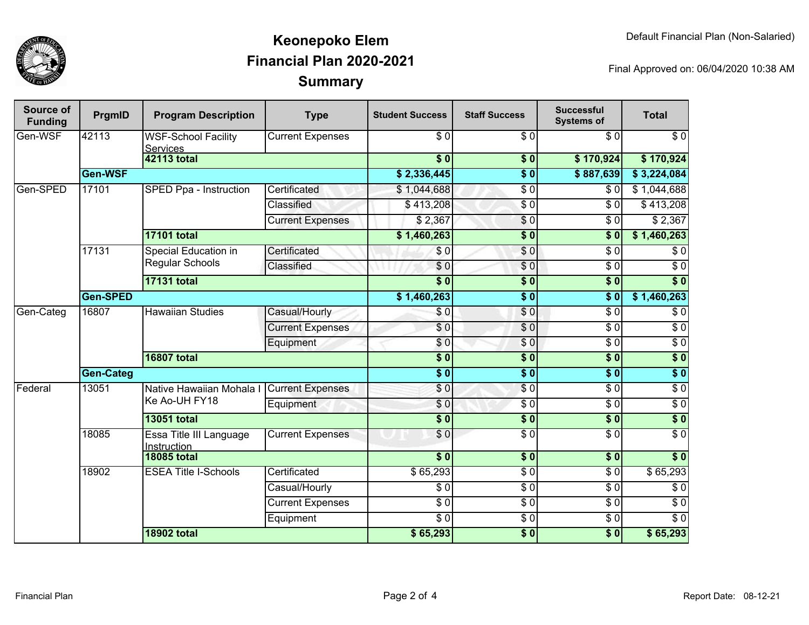

## **SummaryKeonepoko ElemFinancial Plan 2020-2021**

Final Approved on: 06/04/2020 10:38 AM

| Source of<br><b>Funding</b> | PrgmID           | <b>Program Description</b>                     | <b>Type</b>             | <b>Student Success</b>   | <b>Staff Success</b> | <b>Successful</b><br><b>Systems of</b> | <b>Total</b>     |
|-----------------------------|------------------|------------------------------------------------|-------------------------|--------------------------|----------------------|----------------------------------------|------------------|
| Gen-WSF                     | 42113            | <b>WSF-School Facility</b><br><b>Services</b>  | <b>Current Expenses</b> | $\overline{\$0}$         | $\overline{\$0}$     | $\overline{30}$                        | $\overline{\$0}$ |
|                             |                  | <b>42113 total</b>                             |                         | $\overline{\$}0$         | \$0                  | \$170,924                              | \$170,924        |
|                             | Gen-WSF          |                                                |                         | \$2,336,445              | $\overline{\$0}$     | \$887,639                              | \$3,224,084      |
| Gen-SPED                    | 17101            | SPED Ppa - Instruction                         | Certificated            | \$1,044,688              | $\overline{\$0}$     | $\overline{\$0}$                       | \$1,044,688      |
|                             |                  |                                                | Classified              | \$413,208                | $\overline{\$0}$     | \$0                                    | \$413,208        |
|                             |                  |                                                | <b>Current Expenses</b> | \$2,367                  | $\sqrt{6}$           | $\overline{\$0}$                       | \$2,367          |
|                             |                  | <b>17101 total</b>                             |                         | \$1,460,263              | $\overline{\$0}$     | $\overline{\$}0$                       | \$1,460,263      |
|                             | 17131            | <b>Special Education in</b><br>Regular Schools | Certificated            | \$0                      | $\sqrt{6}$           | $\overline{\$0}$                       | $\overline{\$0}$ |
|                             |                  |                                                | Classified              | $\overline{\$0}$         | $\overline{\$0}$     | $\overline{\$0}$                       | $\overline{\$0}$ |
|                             |                  | <b>17131 total</b>                             |                         | $\overline{\bullet}$     | $\overline{\$0}$     | $\overline{\$0}$                       | $\overline{\$0}$ |
|                             | Gen-SPED         |                                                |                         | \$1,460,263              | $\sqrt{6}$           | s <sub>0</sub>                         | \$1,460,263      |
| Gen-Categ                   | 16807            | <b>Hawaiian Studies</b>                        | Casual/Hourly           | \$0                      | $\overline{\$0}$     | $\overline{\$0}$                       | $\overline{\$0}$ |
|                             |                  |                                                | <b>Current Expenses</b> | \$0                      | $\sqrt{6}$           | $\overline{\$0}$                       | $\overline{\$0}$ |
|                             |                  |                                                | Equipment               | \$0                      | $\overline{S}0$      | $\overline{\$0}$                       | $\overline{\$0}$ |
|                             |                  | <b>16807 total</b>                             |                         | $\overline{\textbf{50}}$ | \$0                  | s <sub>0</sub>                         | $\overline{\$0}$ |
|                             | <b>Gen-Categ</b> |                                                |                         | $\overline{\$0}$         | $\overline{\$0}$     | $\overline{\phantom{0}50}$             | $\sqrt{6}$       |
| Federal                     | 13051            | Native Hawaiian Mohala I<br>Ke Ao-UH FY18      | <b>Current Expenses</b> | \$0                      | $\overline{\$0}$     | $\overline{\$0}$                       | $\overline{30}$  |
|                             |                  |                                                | Equipment               | \$0                      | $\overline{\$0}$     | $\overline{3}0$                        | $\overline{\$0}$ |
|                             |                  | <b>13051 total</b>                             |                         | $\overline{\$0}$         | $\overline{\$0}$     | $\sqrt{6}$                             | $\overline{\$0}$ |
|                             | 18085            | Essa Title III Language<br>Instruction         | <b>Current Expenses</b> | \$0                      | $\overline{\$0}$     | $\overline{\$0}$                       | $\overline{\$0}$ |
|                             |                  | <b>18085 total</b>                             |                         |                          | $\frac{1}{2}$        | $\frac{1}{2}$                          | \$0              |
|                             | 18902            | <b>ESEA Title I-Schools</b>                    | Certificated            | \$65,293                 | $\overline{30}$      | $\sqrt{6}$                             | \$65,293         |
|                             |                  |                                                | Casual/Hourly           | \$0                      | $\sqrt{6}$           | $\sqrt{6}$                             | $\sqrt{6}$       |
|                             |                  |                                                | <b>Current Expenses</b> | $\sqrt{6}$               | $\sqrt{6}$           | $\sqrt{6}$                             | $\overline{S}0$  |
|                             |                  |                                                | Equipment               | $\overline{\$0}$         | $\overline{30}$      | $\sqrt{6}$                             | $\sqrt{6}$       |
|                             |                  | <b>18902 total</b>                             |                         | \$65,293                 | $\overline{\$0}$     | $\overline{\$0}$                       | \$65,293         |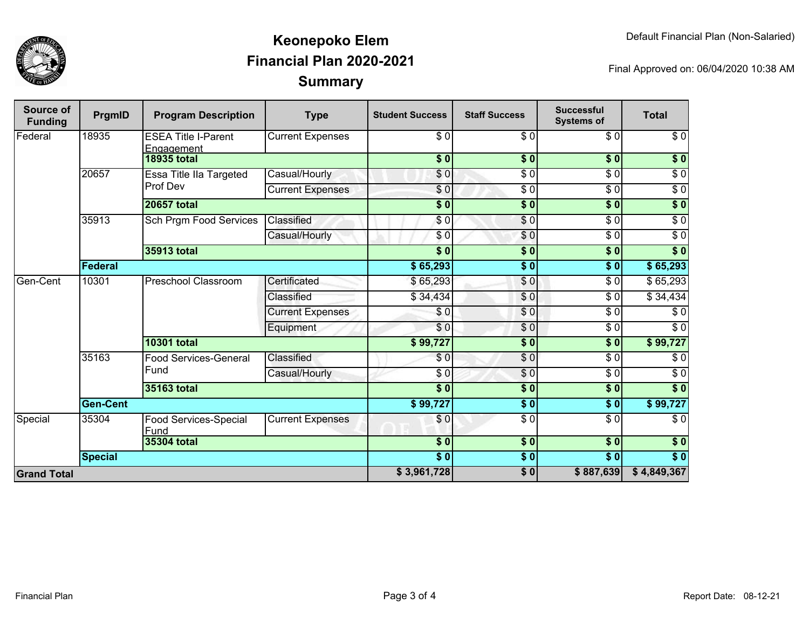

## **SummaryKeonepoko ElemFinancial Plan 2020-2021**

Final Approved on: 06/04/2020 10:38 AM

| Source of<br><b>Funding</b> | PrgmID             | <b>Program Description</b>               | <b>Type</b>             | <b>Student Success</b>    | <b>Staff Success</b>     | <b>Successful</b><br><b>Systems of</b> | <b>Total</b>     |
|-----------------------------|--------------------|------------------------------------------|-------------------------|---------------------------|--------------------------|----------------------------------------|------------------|
| Federal                     | 18935              | <b>ESEA Title I-Parent</b><br>Engagement | <b>Current Expenses</b> | $\sqrt{6}$                | $\overline{\$0}$         | $\overline{\$0}$                       | $\sqrt{6}$       |
|                             |                    | <b>18935 total</b>                       |                         | \$0                       | \$0                      | \$0                                    | $\sqrt{6}$       |
|                             | 20657              | Essa Title IIa Targeted<br>Prof Dev      | Casual/Hourly           | \$0                       | $\overline{\$0}$         | $\overline{\$0}$                       | $\overline{\$0}$ |
|                             |                    |                                          | <b>Current Expenses</b> | \$0                       | $\overline{\$0}$         | $\overline{\$0}$                       | $\sqrt{6}$       |
|                             |                    | <b>20657 total</b>                       |                         | $\overline{\textbf{S}^0}$ | \$0                      | \$0                                    | $\sqrt{6}$       |
|                             | 35913              | <b>Sch Prgm Food Services</b>            | Classified              | $\sqrt{6}$                | $\sqrt{6}$               | $\overline{\$0}$                       | $\sqrt{6}$       |
|                             |                    |                                          | Casual/Hourly           | \$0                       | \$0                      | $\overline{30}$                        | $\sqrt{6}$       |
|                             |                    | 35913 total                              |                         | $\overline{\textbf{S}^0}$ | $\overline{\textbf{50}}$ | \$0                                    | $\overline{\$0}$ |
|                             | Federal            |                                          |                         | \$65,293                  | $\overline{\$0}$         | s <sub>0</sub>                         | \$65,293         |
| Gen-Cent                    | 10301              | <b>Preschool Classroom</b>               | Certificated            | \$65,293                  | \$0                      | \$0                                    | \$65,293         |
|                             |                    |                                          | Classified              | \$34,434                  | \$0                      | \$0                                    | \$34,434         |
|                             |                    |                                          | <b>Current Expenses</b> | \$0                       | \$0                      | $\overline{30}$                        | $\overline{\$0}$ |
|                             |                    |                                          | Equipment               | \$0                       | $\overline{\$0}$         | \$0                                    | $\overline{\$0}$ |
|                             |                    | <b>10301 total</b>                       |                         | \$99,727                  | \$0                      | $\overline{\$0}$                       | \$99,727         |
|                             | 35163              | <b>Food Services-General</b><br>Fund     | Classified              | \$0                       | $\sqrt{6}$               | $\overline{30}$                        | \$0              |
|                             |                    |                                          | Casual/Hourly           | \$0                       | \$0                      | $\overline{\$0}$                       | $\overline{\$0}$ |
|                             |                    | 35163 total                              |                         | $\overline{\$0}$          | \$0                      | s <sub>0</sub>                         | $\overline{\$0}$ |
|                             | <b>Gen-Cent</b>    |                                          |                         |                           | \$0                      | \$0                                    | \$99,727         |
| Special                     | 35304              | Food Services-Special<br>Fund            | <b>Current Expenses</b> | \$0                       | $\overline{\$0}$         | $\overline{\$0}$                       | $\overline{\$0}$ |
|                             | <b>35304 total</b> |                                          |                         | \$0                       | \$0                      | \$0                                    | \$0              |
|                             | <b>Special</b>     |                                          |                         | \$0                       | \$0                      | $\overline{\$0}$                       | \$0              |
| <b>Grand Total</b>          |                    |                                          |                         |                           | \$0                      | \$887,639                              | \$4,849,367      |